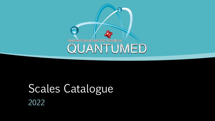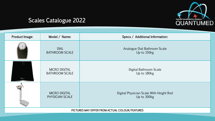

| Product Image:                                  | Model / Name:                                 | Specs / Additional Information:                        |  |  |
|-------------------------------------------------|-----------------------------------------------|--------------------------------------------------------|--|--|
|                                                 | <b>DIAL</b><br><b>BATHROOM SCALE</b>          | Analogue Dial Bathroom Scale<br>Up to 150kg            |  |  |
| <b>III</b> cno                                  | <b>MICRO DIGITAL</b><br><b>BATHROOM SCALE</b> | Digital Bathroom Scale<br>Up to 180kg                  |  |  |
|                                                 | <b>MICRO DIGITAL</b><br>PHYSICIAN SCALE       | Digital Physician Scale With Height Rod<br>Up to 300kg |  |  |
| PICTURES MAY DIFFER FROM ACTUAL COLOUR/FEATURES |                                               |                                                        |  |  |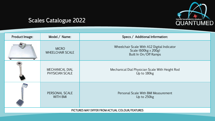

| Product Image:                                  | Model / Name:                             | Specs / Additional Information:                                                              |  |  |
|-------------------------------------------------|-------------------------------------------|----------------------------------------------------------------------------------------------|--|--|
|                                                 | <b>MICRO</b><br><b>WHEELCHAIR SCALE</b>   | Wheelchair Scale With A12 Digital Indicator<br>Scale (600kg x 200g)<br>Built In On/Off Ramps |  |  |
|                                                 | <b>MECHANICAL DIAL</b><br>PHYSICIAN SCALE | Mechanical Dial Physician Scale With Height Rod<br>Up to 180kg                               |  |  |
|                                                 | PERSONAL SCALE<br><b>WITH BMI</b>         | Personal Scale With BMI Measurement<br>Up to 250kg                                           |  |  |
| PICTURES MAY DIFFER FROM ACTUAL COLOUR/FEATURES |                                           |                                                                                              |  |  |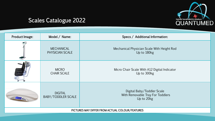

| Product Image:                                  | Model / Name:                               | Specs / Additional Information:                                              |  |  |
|-------------------------------------------------|---------------------------------------------|------------------------------------------------------------------------------|--|--|
|                                                 | <b>MECHANICAL</b><br>PHYSICIAN SCALE        | Mechanical Physician Scale With Height Rod<br>Up to 180kg                    |  |  |
|                                                 | <b>MICRO</b><br><b>CHAIR SCALE</b>          | Micro Chair Scale With A12 Digital Indicator<br>Up to 300kg                  |  |  |
|                                                 | <b>DIGITAL</b><br><b>BABY/TODDLER SCALE</b> | Digital Baby/Toddler Scale<br>With Removable Tray For Toddlers<br>Up to 20kg |  |  |
| PICTURES MAY DIFFER FROM ACTUAL COLOUR/FEATURES |                                             |                                                                              |  |  |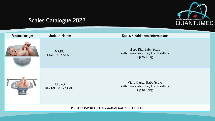

| Product Image: | Model / Name:                             | Specs / Additional Information:                                            |
|----------------|-------------------------------------------|----------------------------------------------------------------------------|
|                | <b>MICRO</b><br><b>DIAL BABY SCALE</b>    | Micro Dial Baby Scale<br>With Removable Tray For Toddlers<br>Up to 20kg    |
|                | <b>MICRO</b><br><b>DIGITAL BABY SCALE</b> | Micro Digital Baby Scale<br>With Removable Tray For Toddlers<br>Up to 15kg |

PICTURES MAY DIFFER FROM ACTUAL COLOUR/FEATURES